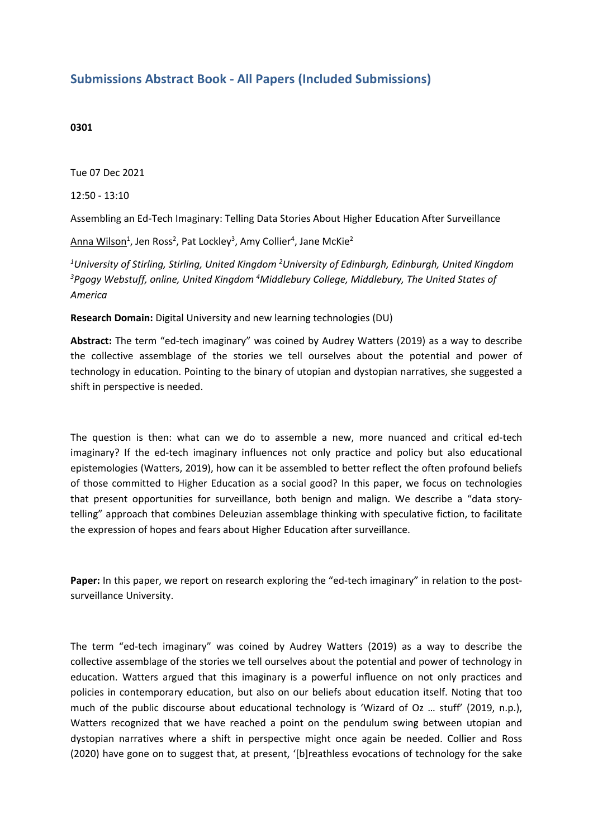## **Submissions Abstract Book - All Papers (Included Submissions)**

## **0301**

Tue 07 Dec 2021

12:50 - 13:10

Assembling an Ed-Tech Imaginary: Telling Data Stories About Higher Education After Surveillance

 $\lambda$ nna Wilson $^1$ , Jen Ross<sup>2</sup>, Pat Lockley<sup>3</sup>, Amy Collier<sup>4</sup>, Jane McKie<sup>2</sup>

*1 University of Stirling, Stirling, United Kingdom <sup>2</sup> University of Edinburgh, Edinburgh, United Kingdom 3 Pgogy Webstuff, online, United Kingdom <sup>4</sup>Middlebury College, Middlebury, The United States of America*

**Research Domain:** Digital University and new learning technologies (DU)

**Abstract:** The term "ed-tech imaginary" was coined by Audrey Watters (2019) as <sup>a</sup> way to describe the collective assemblage of the stories we tell ourselves about the potential and power of technology in education. Pointing to the binary of utopian and dystopian narratives, she suggested <sup>a</sup> shift in perspective is needed.

The question is then: what can we do to assemble <sup>a</sup> new, more nuanced and critical ed-tech imaginary? If the ed-tech imaginary influences not only practice and policy but also educational epistemologies (Watters, 2019), how can it be assembled to better reflect the often profound beliefs of those committed to Higher Education as <sup>a</sup> social good? In this paper, we focus on technologies that present opportunities for surveillance, both benign and malign. We describe <sup>a</sup> "data storytelling" approach that combines Deleuzian assemblage thinking with speculative fiction, to facilitate the expression of hopes and fears about Higher Education after surveillance.

**Paper:** In this paper, we report on research exploring the "ed-tech imaginary" in relation to the postsurveillance University.

The term "ed-tech imaginary" was coined by Audrey Watters (2019) as <sup>a</sup> way to describe the collective assemblage of the stories we tell ourselves about the potential and power of technology in education. Watters argued that this imaginary is <sup>a</sup> powerful influence on not only practices and policies in contemporary education, but also on our beliefs about education itself. Noting that too much of the public discourse about educational technology is 'Wizard of Oz ... stuff' (2019, n.p.), Watters recognized that we have reached <sup>a</sup> point on the pendulum swing between utopian and dystopian narratives where <sup>a</sup> shift in perspective might once again be needed. Collier and Ross (2020) have gone on to suggest that, at present, '[b]reathless evocations of technology for the sake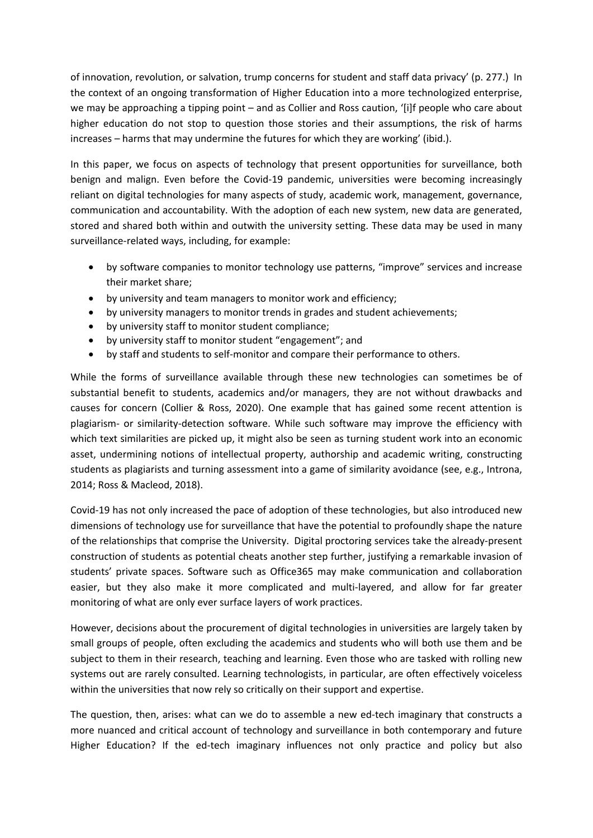of innovation, revolution, or salvation, trump concerns for student and staff data privacy' (p. 277.) In the context of an ongoing transformation of Higher Education into <sup>a</sup> more technologized enterprise, we may be approaching <sup>a</sup> tipping point – and as Collier and Ross caution, '[i]f people who care about higher education do not stop to question those stories and their assumptions, the risk of harms increases – harms that may undermine the futures for which they are working' (ibid.).

In this paper, we focus on aspects of technology that present opportunities for surveillance, both benign and malign. Even before the Covid-19 pandemic, universities were becoming increasingly reliant on digital technologies for many aspects of study, academic work, management, governance, communication and accountability. With the adoption of each new system, new data are generated, stored and shared both within and outwith the university setting. These data may be used in many surveillance-related ways, including, for example:

- by software companies to monitor technology use patterns, "improve" services and increase their market share;
- by university and team managers to monitor work and efficiency;
- by university managers to monitor trends in grades and student achievements;
- by university staff to monitor student compliance;
- by university staff to monitor student "engagement"; and
- by staff and students to self-monitor and compare their performance to others.

While the forms of surveillance available through these new technologies can sometimes be of substantial benefit to students, academics and/or managers, they are not without drawbacks and causes for concern (Collier & Ross, 2020). One example that has gained some recent attention is plagiarism- or similarity-detection software. While such software may improve the efficiency with which text similarities are picked up, it might also be seen as turning student work into an economic asset, undermining notions of intellectual property, authorship and academic writing, constructing students as plagiarists and turning assessment into <sup>a</sup> game of similarity avoidance (see, e.g., Introna, 2014; Ross & Macleod, 2018).

Covid-19 has not only increased the pace of adoption of these technologies, but also introduced new dimensions of technology use for surveillance that have the potential to profoundly shape the nature of the relationships that comprise the University. Digital proctoring services take the already-present construction of students as potential cheats another step further, justifying <sup>a</sup> remarkable invasion of students' private spaces. Software such as Office365 may make communication and collaboration easier, but they also make it more complicated and multi-layered, and allow for far greater monitoring of what are only ever surface layers of work practices.

However, decisions about the procurement of digital technologies in universities are largely taken by small groups of people, often excluding the academics and students who will both use them and be subject to them in their research, teaching and learning. Even those who are tasked with rolling new systems out are rarely consulted. Learning technologists, in particular, are often effectively voiceless within the universities that now rely so critically on their support and expertise.

The question, then, arises: what can we do to assemble <sup>a</sup> new ed-tech imaginary that constructs <sup>a</sup> more nuanced and critical account of technology and surveillance in both contemporary and future Higher Education? If the ed-tech imaginary influences not only practice and policy but also